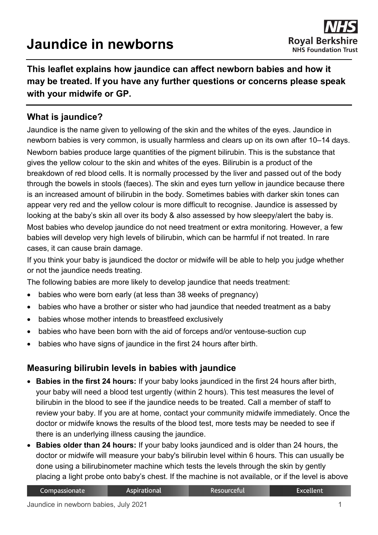# **Jaundice in newborns**

**This leaflet explains how jaundice can affect newborn babies and how it may be treated. If you have any further questions or concerns please speak with your midwife or GP.**

## **What is jaundice?**

Jaundice is the name given to yellowing of the skin and the whites of the eyes. Jaundice in newborn babies is very common, is usually harmless and clears up on its own after 10–14 days. Newborn babies produce large quantities of the pigment bilirubin. This is the substance that gives the yellow colour to the skin and whites of the eyes. Bilirubin is a product of the breakdown of red blood cells. It is normally processed by the liver and passed out of the body through the bowels in stools (faeces). The skin and eyes turn yellow in jaundice because there is an increased amount of bilirubin in the body. Sometimes babies with darker skin tones can appear very red and the yellow colour is more difficult to recognise. Jaundice is assessed by looking at the baby's skin all over its body & also assessed by how sleepy/alert the baby is. Most babies who develop jaundice do not need treatment or extra monitoring. However, a few babies will develop very high levels of bilirubin, which can be harmful if not treated. In rare cases, it can cause brain damage.

If you think your baby is jaundiced the doctor or midwife will be able to help you judge whether or not the jaundice needs treating.

The following babies are more likely to develop jaundice that needs treatment:

- babies who were born early (at less than 38 weeks of pregnancy)
- babies who have a brother or sister who had jaundice that needed treatment as a baby
- babies whose mother intends to breastfeed exclusively
- babies who have been born with the aid of forceps and/or ventouse-suction cup
- babies who have signs of jaundice in the first 24 hours after birth.

#### **Measuring bilirubin levels in babies with jaundice**

- **Babies in the first 24 hours:** If your baby looks jaundiced in the first 24 hours after birth, your baby will need a blood test urgently (within 2 hours). This test measures the level of bilirubin in the blood to see if the jaundice needs to be treated. Call a member of staff to review your baby. If you are at home, contact your community midwife immediately. Once the doctor or midwife knows the results of the blood test, more tests may be needed to see if there is an underlying illness causing the jaundice.
- **Babies older than 24 hours:** If your baby looks jaundiced and is older than 24 hours, the doctor or midwife will measure your baby's bilirubin level within 6 hours. This can usually be done using a bilirubinometer machine which tests the levels through the skin by gently placing a light probe onto baby's chest. If the machine is not available, or if the level is above